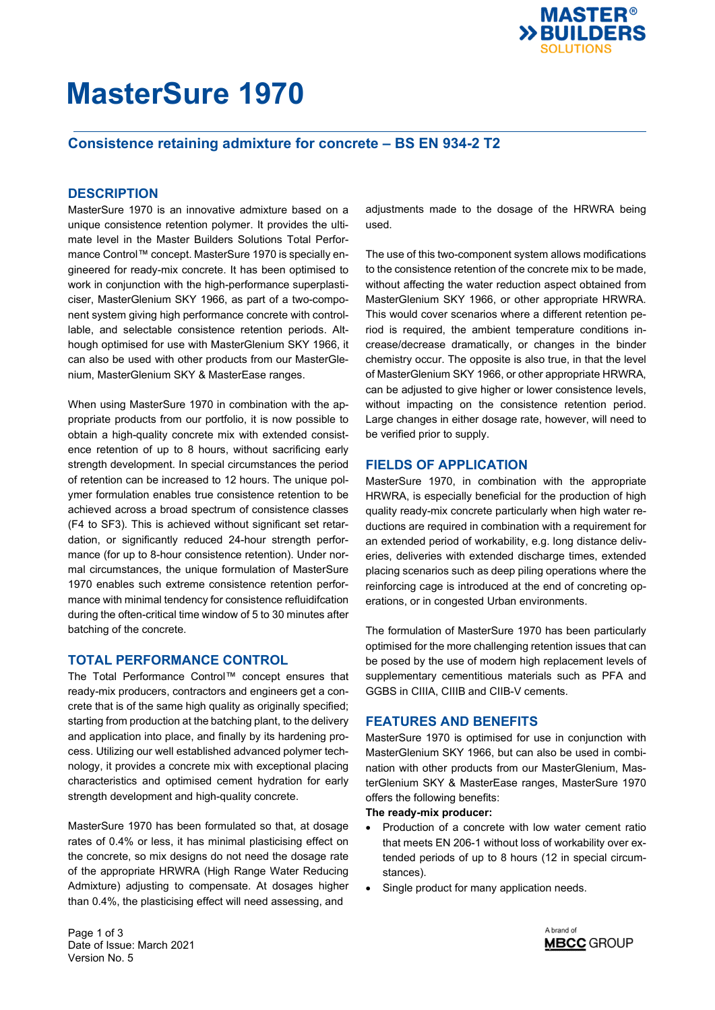

### **Consistence retaining admixture for concrete – BS EN 934-2 T2**

### **DESCRIPTION**

MasterSure 1970 is an innovative admixture based on a unique consistence retention polymer. It provides the ultimate level in the Master Builders Solutions Total Performance Control™ concept. MasterSure 1970 is specially engineered for ready-mix concrete. It has been optimised to work in conjunction with the high-performance superplasticiser, MasterGlenium SKY 1966, as part of a two-component system giving high performance concrete with controllable, and selectable consistence retention periods. Although optimised for use with MasterGlenium SKY 1966, it can also be used with other products from our MasterGlenium, MasterGlenium SKY & MasterEase ranges.

When using MasterSure 1970 in combination with the appropriate products from our portfolio, it is now possible to obtain a high-quality concrete mix with extended consistence retention of up to 8 hours, without sacrificing early strength development. In special circumstances the period of retention can be increased to 12 hours. The unique polymer formulation enables true consistence retention to be achieved across a broad spectrum of consistence classes (F4 to SF3). This is achieved without significant set retardation, or significantly reduced 24-hour strength performance (for up to 8-hour consistence retention). Under normal circumstances, the unique formulation of MasterSure 1970 enables such extreme consistence retention performance with minimal tendency for consistence refluidifcation during the often-critical time window of 5 to 30 minutes after batching of the concrete.

#### **TOTAL PERFORMANCE CONTROL**

The Total Performance Control™ concept ensures that ready-mix producers, contractors and engineers get a concrete that is of the same high quality as originally specified; starting from production at the batching plant, to the delivery and application into place, and finally by its hardening process. Utilizing our well established advanced polymer technology, it provides a concrete mix with exceptional placing characteristics and optimised cement hydration for early strength development and high-quality concrete.

MasterSure 1970 has been formulated so that, at dosage rates of 0.4% or less, it has minimal plasticising effect on the concrete, so mix designs do not need the dosage rate of the appropriate HRWRA (High Range Water Reducing Admixture) adjusting to compensate. At dosages higher than 0.4%, the plasticising effect will need assessing, and

adjustments made to the dosage of the HRWRA being used.

The use of this two-component system allows modifications to the consistence retention of the concrete mix to be made, without affecting the water reduction aspect obtained from MasterGlenium SKY 1966, or other appropriate HRWRA. This would cover scenarios where a different retention period is required, the ambient temperature conditions increase/decrease dramatically, or changes in the binder chemistry occur. The opposite is also true, in that the level of MasterGlenium SKY 1966, or other appropriate HRWRA, can be adjusted to give higher or lower consistence levels, without impacting on the consistence retention period. Large changes in either dosage rate, however, will need to be verified prior to supply.

#### **FIELDS OF APPLICATION**

MasterSure 1970, in combination with the appropriate HRWRA, is especially beneficial for the production of high quality ready-mix concrete particularly when high water reductions are required in combination with a requirement for an extended period of workability, e.g. long distance deliveries, deliveries with extended discharge times, extended placing scenarios such as deep piling operations where the reinforcing cage is introduced at the end of concreting operations, or in congested Urban environments.

The formulation of MasterSure 1970 has been particularly optimised for the more challenging retention issues that can be posed by the use of modern high replacement levels of supplementary cementitious materials such as PFA and GGBS in CIIIA, CIIIB and CIIB-V cements.

#### **FEATURES AND BENEFITS**

MasterSure 1970 is optimised for use in conjunction with MasterGlenium SKY 1966, but can also be used in combination with other products from our MasterGlenium, MasterGlenium SKY & MasterEase ranges, MasterSure 1970 offers the following benefits:

#### **The ready-mix producer:**

- Production of a concrete with low water cement ratio that meets EN 206-1 without loss of workability over extended periods of up to 8 hours (12 in special circumstances).
- Single product for many application needs.

Page 1 of 3 Date of Issue: March 2021 Version No. 5

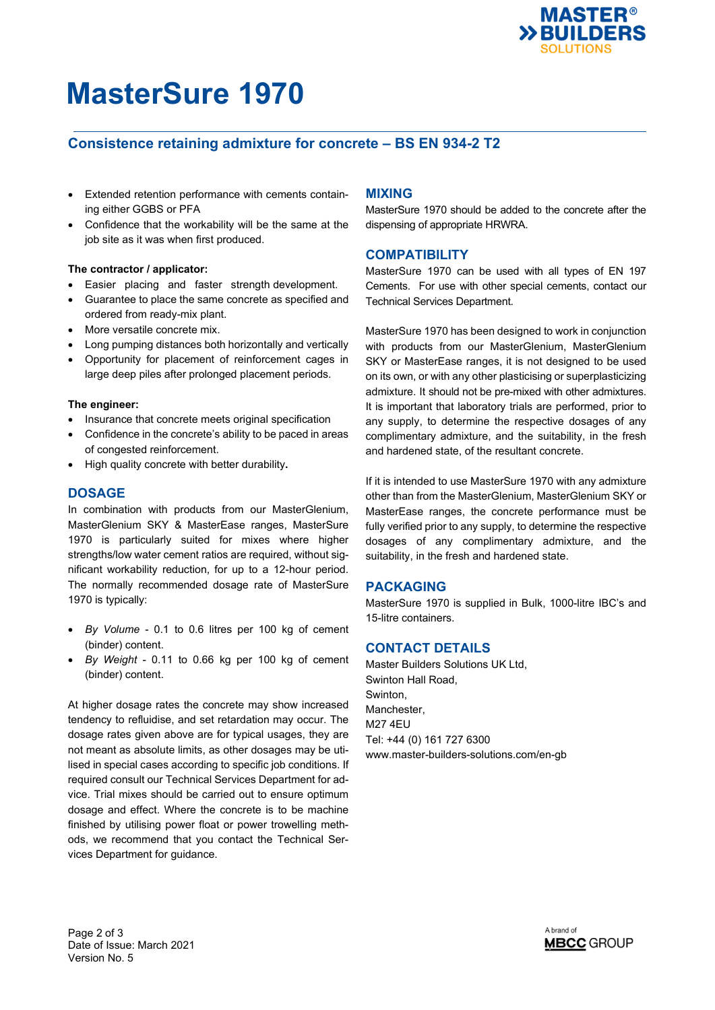

### **Consistence retaining admixture for concrete – BS EN 934-2 T2**

- Extended retention performance with cements containing either GGBS or PFA
- Confidence that the workability will be the same at the job site as it was when first produced.

#### **The contractor / applicator:**

- Easier placing and faster strength development.
- Guarantee to place the same concrete as specified and ordered from ready-mix plant.
- More versatile concrete mix.
- Long pumping distances both horizontally and vertically
- Opportunity for placement of reinforcement cages in large deep piles after prolonged placement periods.

#### **The engineer:**

- Insurance that concrete meets original specification
- Confidence in the concrete's ability to be paced in areas of congested reinforcement.
- High quality concrete with better durability**.**

#### **DOSAGE**

In combination with products from our MasterGlenium, MasterGlenium SKY & MasterEase ranges, MasterSure 1970 is particularly suited for mixes where higher strengths/low water cement ratios are required, without significant workability reduction, for up to a 12-hour period. The normally recommended dosage rate of MasterSure 1970 is typically:

- *By Volume* 0.1 to 0.6 litres per 100 kg of cement (binder) content.
- *By Weight* 0.11 to 0.66 kg per 100 kg of cement (binder) content.

At higher dosage rates the concrete may show increased tendency to refluidise, and set retardation may occur. The dosage rates given above are for typical usages, they are not meant as absolute limits, as other dosages may be utilised in special cases according to specific job conditions. If required consult our Technical Services Department for advice. Trial mixes should be carried out to ensure optimum dosage and effect. Where the concrete is to be machine finished by utilising power float or power trowelling methods, we recommend that you contact the Technical Services Department for guidance.

#### **MIXING**

MasterSure 1970 should be added to the concrete after the dispensing of appropriate HRWRA.

#### **COMPATIBILITY**

MasterSure 1970 can be used with all types of EN 197 Cements. For use with other special cements, contact our Technical Services Department.

MasterSure 1970 has been designed to work in conjunction with products from our MasterGlenium, MasterGlenium SKY or MasterEase ranges, it is not designed to be used on its own, or with any other plasticising or superplasticizing admixture. It should not be pre-mixed with other admixtures. It is important that laboratory trials are performed, prior to any supply, to determine the respective dosages of any complimentary admixture, and the suitability, in the fresh and hardened state, of the resultant concrete.

If it is intended to use MasterSure 1970 with any admixture other than from the MasterGlenium, MasterGlenium SKY or MasterEase ranges, the concrete performance must be fully verified prior to any supply, to determine the respective dosages of any complimentary admixture, and the suitability, in the fresh and hardened state.

#### **PACKAGING**

MasterSure 1970 is supplied in Bulk, 1000-litre IBC's and 15-litre containers.

#### **CONTACT DETAILS**

Master Builders Solutions UK Ltd. Swinton Hall Road, Swinton, Manchester, M27 4EU Tel: +44 (0) 161 727 6300 www.master-builders-solutions.com/en-gb

Page 2 of 3 Date of Issue: March 2021 Version No. 5

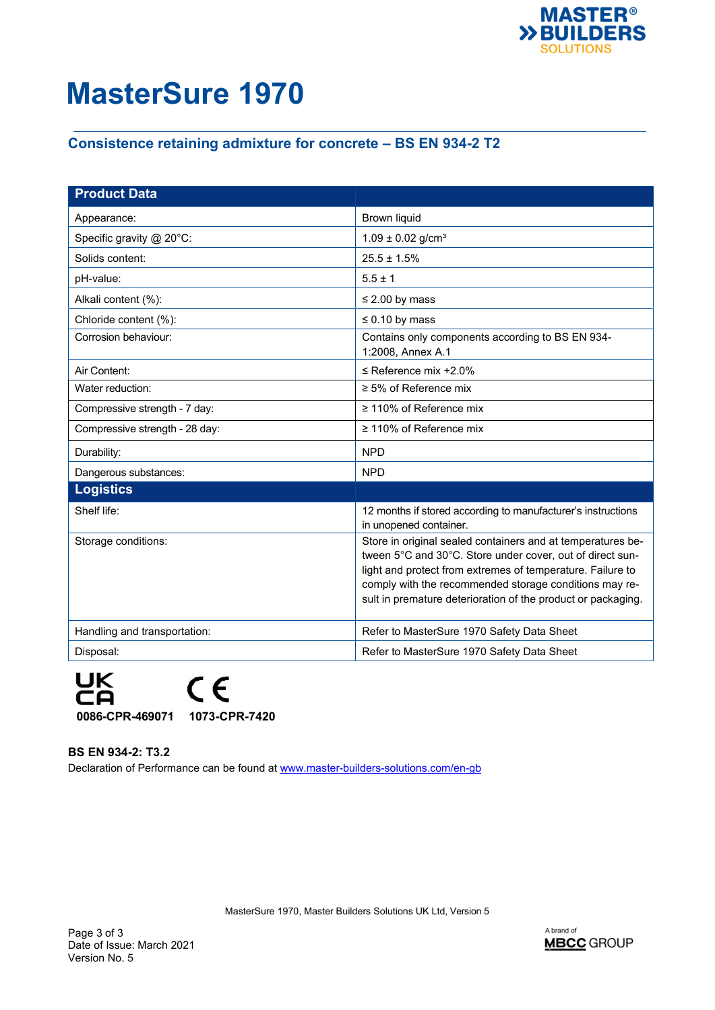

## **Consistence retaining admixture for concrete – BS EN 934-2 T2**

| <b>Product Data</b>            |                                                                                                                                                                                                                                                                                                                  |
|--------------------------------|------------------------------------------------------------------------------------------------------------------------------------------------------------------------------------------------------------------------------------------------------------------------------------------------------------------|
| Appearance:                    | <b>Brown liquid</b>                                                                                                                                                                                                                                                                                              |
| Specific gravity @ 20°C:       | $1.09 \pm 0.02$ g/cm <sup>3</sup>                                                                                                                                                                                                                                                                                |
| Solids content:                | $25.5 \pm 1.5\%$                                                                                                                                                                                                                                                                                                 |
| pH-value:                      | $5.5 \pm 1$                                                                                                                                                                                                                                                                                                      |
| Alkali content (%):            | $\leq$ 2.00 by mass                                                                                                                                                                                                                                                                                              |
| Chloride content (%):          | $\leq 0.10$ by mass                                                                                                                                                                                                                                                                                              |
| Corrosion behaviour:           | Contains only components according to BS EN 934-<br>1:2008, Annex A.1                                                                                                                                                                                                                                            |
| Air Content:                   | $\leq$ Reference mix +2.0%                                                                                                                                                                                                                                                                                       |
| Water reduction:               | $\geq$ 5% of Reference mix                                                                                                                                                                                                                                                                                       |
| Compressive strength - 7 day:  | $\geq$ 110% of Reference mix                                                                                                                                                                                                                                                                                     |
| Compressive strength - 28 day: | $\geq$ 110% of Reference mix                                                                                                                                                                                                                                                                                     |
| Durability:                    | <b>NPD</b>                                                                                                                                                                                                                                                                                                       |
| Dangerous substances:          | <b>NPD</b>                                                                                                                                                                                                                                                                                                       |
| <b>Logistics</b>               |                                                                                                                                                                                                                                                                                                                  |
| Shelf life:                    | 12 months if stored according to manufacturer's instructions<br>in unopened container.                                                                                                                                                                                                                           |
| Storage conditions:            | Store in original sealed containers and at temperatures be-<br>tween 5°C and 30°C. Store under cover, out of direct sun-<br>light and protect from extremes of temperature. Failure to<br>comply with the recommended storage conditions may re-<br>sult in premature deterioration of the product or packaging. |
| Handling and transportation:   | Refer to MasterSure 1970 Safety Data Sheet                                                                                                                                                                                                                                                                       |
| Disposal:                      | Refer to MasterSure 1970 Safety Data Sheet                                                                                                                                                                                                                                                                       |

UK<br>CA  $C \in$ **0086-CPR-469071 1073-CPR-7420**

**BS EN 934-2: T3.2**  Declaration of Performance can be found at www.master-builders-solutions.com/en-qb

MasterSure 1970, Master Builders Solutions UK Ltd, Version 5